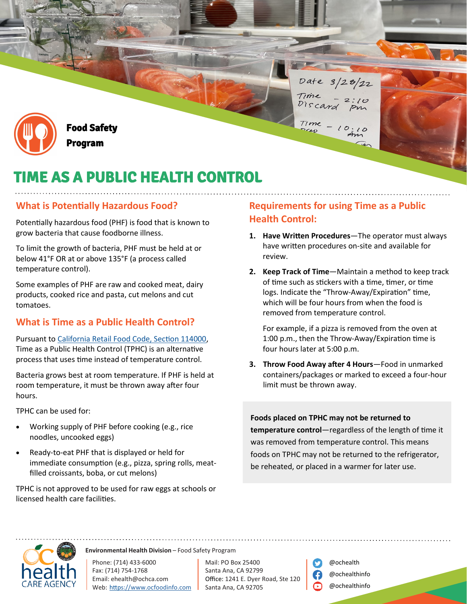

Food Safety Program

# TIME AS A PUBLIC HEALTH CONTROL

#### **What is Potentially Hazardous Food?**

Potentially hazardous food (PHF) is food that is known to grow bacteria that cause foodborne illness.

To limit the growth of bacteria, PHF must be held at or below 41°F OR at or above 135°F (a process called temperature control).

Some examples of PHF are raw and cooked meat, dairy products, cooked rice and pasta, cut melons and cut tomatoes.

#### **What is Time as a Public Health Control?**

Pursuant to [California Retail Food Code, Section 114000,](https://leginfo.legislature.ca.gov/faces/codes_displaySection.xhtml?lawCode=HSC§ionNum=114000.) Time as a Public Health Control (TPHC) is an alternative process that uses time instead of temperature control.

Bacteria grows best at room temperature. If PHF is held at room temperature, it must be thrown away after four hours.

TPHC can be used for:

- Working supply of PHF before cooking (e.g., rice noodles, uncooked eggs)
- Ready-to-eat PHF that is displayed or held for immediate consumption (e.g., pizza, spring rolls, meatfilled croissants, boba, or cut melons)

TPHC is not approved to be used for raw eggs at schools or licensed health care facilities.

### **Requirements for using Time as a Public Health Control:**

Date 3/28/22

 $2:10$ 

Time

Discard

Time

- **1. Have Written Procedures**—The operator must always have written procedures on-site and available for review.
- **2. Keep Track of Time**—Maintain a method to keep track of time such as stickers with a time, timer, or time logs. Indicate the "Throw-Away/Expiration" time, which will be four hours from when the food is removed from temperature control.

For example, if a pizza is removed from the oven at 1:00 p.m., then the Throw-Away/Expiration time is four hours later at 5:00 p.m.

**3. Throw Food Away after 4 Hours**—Food in unmarked containers/packages or marked to exceed a four-hour limit must be thrown away.

**Foods placed on TPHC may not be returned to** 

**temperature control**—regardless of the length of time it was removed from temperature control. This means foods on TPHC may not be returned to the refrigerator, be reheated, or placed in a warmer for later use.



**Environmental Health Division** – Food Safety Program

Phone: (714) 433-6000 Fax: (714) 754-1768 Email: [ehealth@ochca.com](mailto:name@ochca.com) Web: [https](https://www.ocfoodinfo.com/)[://ww](http://www.ochealthinfo.com/)w[.ocfoodinfo.com](http://www.ochealthinfo.com/)

Mail: PO Box 25400 Santa Ana, CA 92799 Office: 1241 E. Dyer Road, Ste 120 Santa Ana, CA 92705



@ochealth @ochealthinfo @ochealthinfo